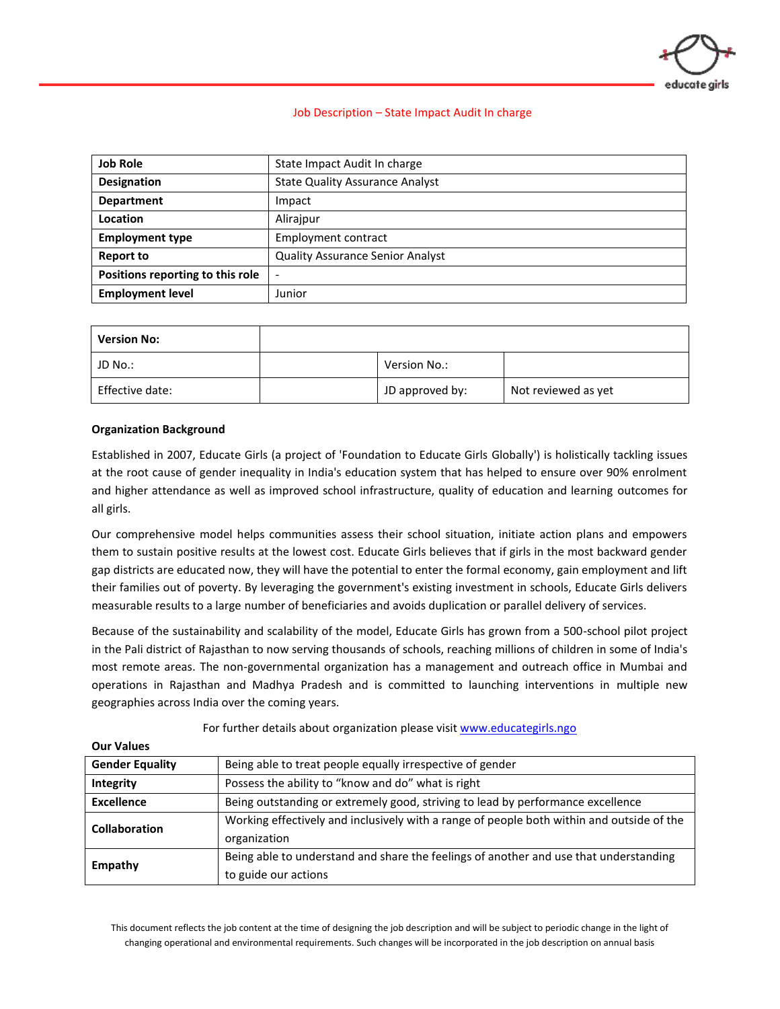

# Job Description – State Impact Audit In charge

| <b>Job Role</b>                  | State Impact Audit In charge            |  |  |
|----------------------------------|-----------------------------------------|--|--|
| <b>Designation</b>               | <b>State Quality Assurance Analyst</b>  |  |  |
| <b>Department</b>                | Impact                                  |  |  |
| Location                         | Alirajpur                               |  |  |
| <b>Employment type</b>           | Employment contract                     |  |  |
| <b>Report to</b>                 | <b>Quality Assurance Senior Analyst</b> |  |  |
| Positions reporting to this role | $\qquad \qquad -$                       |  |  |
| <b>Employment level</b>          | Junior                                  |  |  |

| <b>Version No:</b> |                 |                     |
|--------------------|-----------------|---------------------|
| JD No.:            | Version No.:    |                     |
| Effective date:    | JD approved by: | Not reviewed as yet |

#### **Organization Background**

**Our Values**

Established in 2007, Educate Girls (a project of 'Foundation to Educate Girls Globally') is holistically tackling issues at the root cause of gender inequality in India's education system that has helped to ensure over 90% enrolment and higher attendance as well as improved school infrastructure, quality of education and learning outcomes for all girls.

Our comprehensive model helps communities assess their school situation, initiate action plans and empowers them to sustain positive results at the lowest cost. Educate Girls believes that if girls in the most backward gender gap districts are educated now, they will have the potential to enter the formal economy, gain employment and lift their families out of poverty. By leveraging the government's existing investment in schools, Educate Girls delivers measurable results to a large number of beneficiaries and avoids duplication or parallel delivery of services.

Because of the sustainability and scalability of the model, Educate Girls has grown from a 500-school pilot project in the Pali district of Rajasthan to now serving thousands of schools, reaching millions of children in some of India's most remote areas. The non-governmental organization has a management and outreach office in Mumbai and operations in Rajasthan and Madhya Pradesh and is committed to launching interventions in multiple new geographies across India over the coming years.

| <b>VUI VAIUCJ</b>      |                                                                                                               |  |  |
|------------------------|---------------------------------------------------------------------------------------------------------------|--|--|
| <b>Gender Equality</b> | Being able to treat people equally irrespective of gender                                                     |  |  |
| Integrity              | Possess the ability to "know and do" what is right                                                            |  |  |
| <b>Excellence</b>      | Being outstanding or extremely good, striving to lead by performance excellence                               |  |  |
| <b>Collaboration</b>   | Working effectively and inclusively with a range of people both within and outside of the<br>organization     |  |  |
| Empathy                | Being able to understand and share the feelings of another and use that understanding<br>to guide our actions |  |  |

#### For further details about organization please visi[t www.educategirls.ngo](http://www.educategirls.ngo/)

This document reflects the job content at the time of designing the job description and will be subject to periodic change in the light of changing operational and environmental requirements. Such changes will be incorporated in the job description on annual basis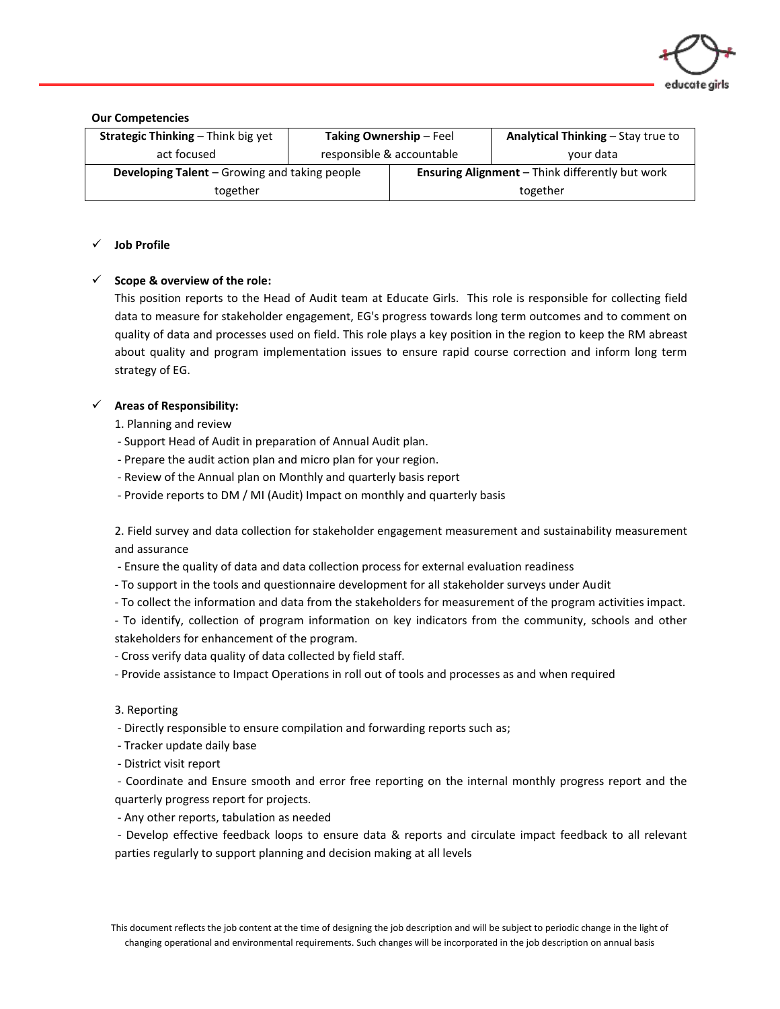

**Our Competencies**

| <b>Strategic Thinking – Think big yet</b>            | <b>Taking Ownership - Feel</b> |                                                        | Analytical Thinking - Stay true to |
|------------------------------------------------------|--------------------------------|--------------------------------------------------------|------------------------------------|
| act focused                                          | responsible & accountable      |                                                        | your data                          |
| <b>Developing Talent</b> – Growing and taking people |                                | <b>Ensuring Alignment</b> – Think differently but work |                                    |
| together                                             |                                |                                                        | together                           |

# ✓ **Job Profile**

# ✓ **Scope & overview of the role:**

This position reports to the Head of Audit team at Educate Girls. This role is responsible for collecting field data to measure for stakeholder engagement, EG's progress towards long term outcomes and to comment on quality of data and processes used on field. This role plays a key position in the region to keep the RM abreast about quality and program implementation issues to ensure rapid course correction and inform long term strategy of EG.

# ✓ **Areas of Responsibility:**

- 1. Planning and review
- Support Head of Audit in preparation of Annual Audit plan.
- Prepare the audit action plan and micro plan for your region.
- Review of the Annual plan on Monthly and quarterly basis report
- Provide reports to DM / MI (Audit) Impact on monthly and quarterly basis

2. Field survey and data collection for stakeholder engagement measurement and sustainability measurement and assurance

- Ensure the quality of data and data collection process for external evaluation readiness
- To support in the tools and questionnaire development for all stakeholder surveys under Audit
- To collect the information and data from the stakeholders for measurement of the program activities impact.
- To identify, collection of program information on key indicators from the community, schools and other stakeholders for enhancement of the program.
- Cross verify data quality of data collected by field staff.
- Provide assistance to Impact Operations in roll out of tools and processes as and when required

#### 3. Reporting

- Directly responsible to ensure compilation and forwarding reports such as;
- Tracker update daily base
- District visit report

- Coordinate and Ensure smooth and error free reporting on the internal monthly progress report and the quarterly progress report for projects.

- Any other reports, tabulation as needed
- Develop effective feedback loops to ensure data & reports and circulate impact feedback to all relevant parties regularly to support planning and decision making at all levels